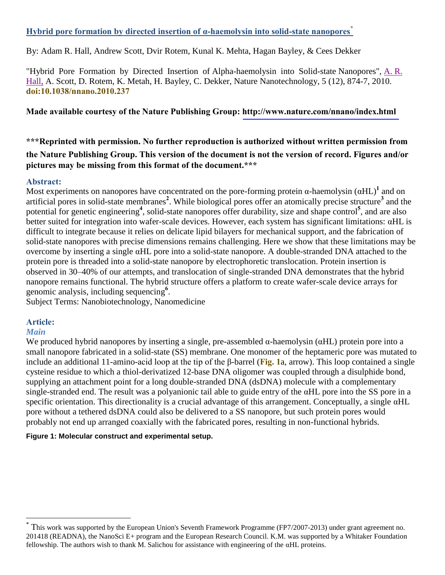## **Hybrid pore formation by directed insertion of α-haemolysin into solid-state nanopores\***

By: Adam R. Hall, Andrew Scott, Dvir Rotem, Kunal K. Mehta, Hagan Bayley, & Cees Dekker

"Hybrid Pore Formation by Directed Insertion of Alpha-haemolysin into Solid-state Nanopores", [A.](http://libres.uncg.edu/ir/uncg/clist.aspx?id=3985) R. [Hall,](http://libres.uncg.edu/ir/uncg/clist.aspx?id=3985) A. Scott, D. Rotem, K. Metah, H. Bayley, C. Dekker, Nature Nanotechnology, 5 (12), 874-7, 2010. **[doi:10.1038/nnano.2010.237](http://dx.doi.org/10.1038/nnano.2010.237)**

### **Made available courtesy of the Nature Publishing Group: <http://www.nature.com/nnano/index.html>**

# **\*\*\*Reprinted with permission. No further reproduction is authorized without written permission from the Nature Publishing Group. This version of the document is not the version of record. Figures and/or pictures may be missing from this format of the document.\*\*\***

### **Abstract:**

Most experiments on nanopores have concentrated on the pore-forming protein  $\alpha$ -haemolysin ( $\alpha$ HL)<sup>1</sup> and on artificial pores in solid-state membranes**<sup>2</sup>** . While biological pores offer an atomically precise structure**<sup>3</sup>** and the potential for genetic engineering<sup>4</sup>, solid-state nanopores offer durability, size and shape control<sup>5</sup>, and are also better suited for integration into wafer-scale devices. However, each system has significant limitations: αHL is difficult to integrate because it relies on delicate lipid bilayers for mechanical support, and the fabrication of solid-state nanopores with precise dimensions remains challenging. Here we show that these limitations may be overcome by inserting a single αHL pore into a solid-state nanopore. A double-stranded DNA attached to the protein pore is threaded into a solid-state nanopore by electrophoretic translocation. Protein insertion is observed in 30–40% of our attempts, and translocation of single-stranded DNA demonstrates that the hybrid nanopore remains functional. The hybrid structure offers a platform to create wafer-scale device arrays for genomic analysis, including sequencing**<sup>6</sup>** .

Subject Terms: Nanobiotechnology, Nanomedicine

## **Article:**

## *Main*

 $\overline{a}$ 

We produced hybrid nanopores by inserting a single, pre-assembled  $\alpha$ -haemolysin ( $\alpha$ HL) protein pore into a small nanopore fabricated in a solid-state (SS) membrane. One monomer of the heptameric pore was mutated to include an additional 11-amino-acid loop at the tip of the β-barrel (**[Fig. 1](http://www.nature.com/nnano/journal/v5/n12/full/nnano.2010.237.html#f1)**a, arrow). This loop contained a single cysteine residue to which a thiol-derivatized 12-base DNA oligomer was coupled through a disulphide bond, supplying an attachment point for a long double-stranded DNA (dsDNA) molecule with a complementary single-stranded end. The result was a polyanionic tail able to guide entry of the αHL pore into the SS pore in a specific orientation. This directionality is a crucial advantage of this arrangement. Conceptually, a single αHL pore without a tethered dsDNA could also be delivered to a SS nanopore, but such protein pores would probably not end up arranged coaxially with the fabricated pores, resulting in non-functional hybrids.

### **Figure 1: Molecular construct and experimental setup.**

<sup>\*</sup> This work was supported by the European Union's Seventh Framework Programme (FP7/2007-2013) under grant agreement no. 201418 (READNA), the NanoSci E+ program and the European Research Council. K.M. was supported by a Whitaker Foundation fellowship. The authors wish to thank M. Salichou for assistance with engineering of the  $\alpha$ HL proteins.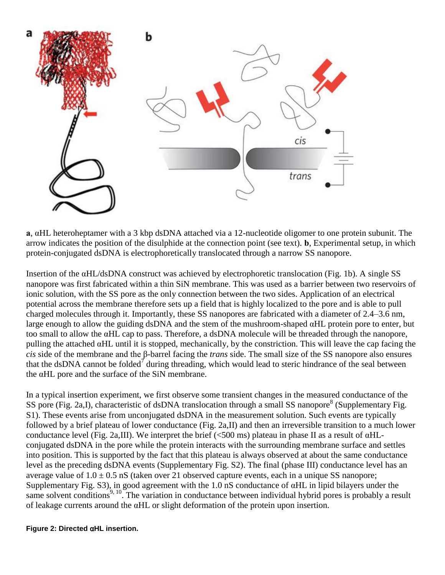

**a**, αHL heteroheptamer with a 3 kbp dsDNA attached via a 12-nucleotide oligomer to one protein subunit. The arrow indicates the position of the disulphide at the connection point (see text). **b**, Experimental setup, in which protein-conjugated dsDNA is electrophoretically translocated through a narrow SS nanopore.

Insertion of the αHL/dsDNA construct was achieved by electrophoretic translocation (Fig. 1b). A single SS nanopore was first fabricated within a thin SiN membrane. This was used as a barrier between two reservoirs of ionic solution, with the SS pore as the only connection between the two sides. Application of an electrical potential across the membrane therefore sets up a field that is highly localized to the pore and is able to pull charged molecules through it. Importantly, these SS nanopores are fabricated with a diameter of 2.4–3.6 nm, large enough to allow the guiding dsDNA and the stem of the mushroom-shaped αHL protein pore to enter, but too small to allow the αHL cap to pass. Therefore, a dsDNA molecule will be threaded through the nanopore, pulling the attached αHL until it is stopped, mechanically, by the constriction. This will leave the cap facing the *cis* side of the membrane and the β-barrel facing the *trans* side. The small size of the SS nanopore also ensures that the dsDNA cannot be folded<sup>7</sup> during threading, which would lead to steric hindrance of the seal between the αHL pore and the surface of the SiN membrane.

In a typical insertion experiment, we first observe some transient changes in the measured conductance of the SS pore (Fig. 2a, I), characteristic of dsDNA translocation through a small SS nanopore<sup>8</sup> (Supplementary Fig. S1). These events arise from unconjugated dsDNA in the measurement solution. Such events are typically followed by a brief plateau of lower conductance (Fig. 2a,II) and then an irreversible transition to a much lower conductance level (Fig. 2a,III). We interpret the brief ( $\leq 500$  ms) plateau in phase II as a result of  $\alpha$ HLconjugated dsDNA in the pore while the protein interacts with the surrounding membrane surface and settles into position. This is supported by the fact that this plateau is always observed at about the same conductance level as the preceding dsDNA events (Supplementary Fig. S2). The final (phase III) conductance level has an average value of  $1.0 \pm 0.5$  nS (taken over 21 observed capture events, each in a unique SS nanopore; Supplementary Fig. S3), in good agreement with the 1.0 nS conductance of αHL in lipid bilayers under the same solvent conditions<sup>9, 10</sup>. The variation in conductance between individual hybrid pores is probably a result of leakage currents around the αHL or slight deformation of the protein upon insertion.

#### **Figure 2: Directed** α**HL insertion.**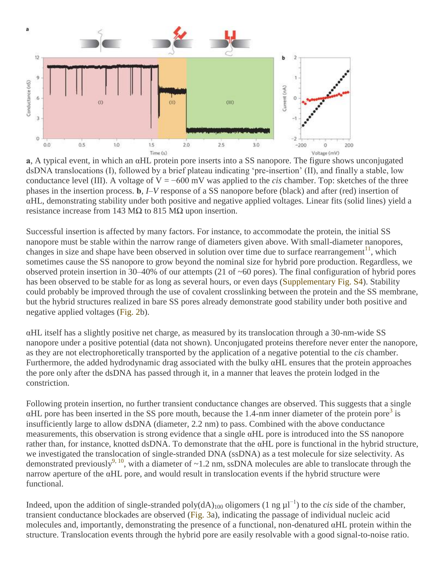

**a**, A typical event, in which an αHL protein pore inserts into a SS nanopore. The figure shows unconjugated dsDNA translocations (I), followed by a brief plateau indicating 'pre-insertion' (II), and finally a stable, low conductance level (III). A voltage of  $V = -600$  mV was applied to the *cis* chamber. Top: sketches of the three phases in the insertion process. **b**, *I*–*V* response of a SS nanopore before (black) and after (red) insertion of αHL, demonstrating stability under both positive and negative applied voltages. Linear fits (solid lines) yield a resistance increase from 143 MΩ to 815 MΩ upon insertion.

Successful insertion is affected by many factors. For instance, to accommodate the protein, the initial SS nanopore must be stable within the narrow range of diameters given above. With small-diameter nanopores, changes in size and shape have been observed in solution over time due to surface rearrangement<sup>11</sup>, which sometimes cause the SS nanopore to grow beyond the nominal size for hybrid pore production. Regardless, we observed protein insertion in 30–40% of our attempts (21 of ~60 pores). The final configuration of hybrid pores has been observed to be stable for as long as several hours, or even days (Supplementary Fig. S4). Stability could probably be improved through the use of covalent crosslinking between the protein and the SS membrane, but the hybrid structures realized in bare SS pores already demonstrate good stability under both positive and negative applied voltages (Fig. 2b).

αHL itself has a slightly positive net charge, as measured by its translocation through a 30-nm-wide SS nanopore under a positive potential (data not shown). Unconjugated proteins therefore never enter the nanopore, as they are not electrophoretically transported by the application of a negative potential to the *cis* chamber. Furthermore, the added hydrodynamic drag associated with the bulky αHL ensures that the protein approaches the pore only after the dsDNA has passed through it, in a manner that leaves the protein lodged in the constriction.

Following protein insertion, no further transient conductance changes are observed. This suggests that a single  $\alpha$ HL pore has been inserted in the SS pore mouth, because the 1.4-nm inner diameter of the protein pore<sup>3</sup> is insufficiently large to allow dsDNA (diameter, 2.2 nm) to pass. Combined with the above conductance measurements, this observation is strong evidence that a single αHL pore is introduced into the SS nanopore rather than, for instance, knotted dsDNA. To demonstrate that the αHL pore is functional in the hybrid structure, we investigated the translocation of single-stranded DNA (ssDNA) as a test molecule for size selectivity. As demonstrated previously<sup>9, 10</sup>, with a diameter of ~1.2 nm, ssDNA molecules are able to translocate through the narrow aperture of the αHL pore, and would result in translocation events if the hybrid structure were functional.

Indeed, upon the addition of single-stranded poly(dA)<sup>100</sup> oligomers (1 ng µl−1) to the *cis* side of the chamber, transient conductance blockades are observed (Fig. 3a), indicating the passage of individual nucleic acid molecules and, importantly, demonstrating the presence of a functional, non-denatured αHL protein within the structure. Translocation events through the hybrid pore are easily resolvable with a good signal-to-noise ratio.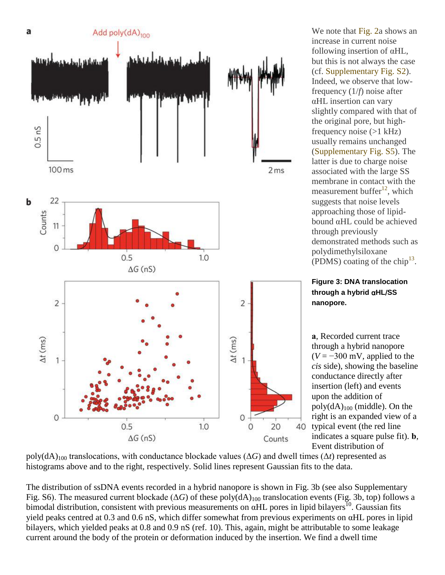

We note that Fig. 2a shows an increase in current noise following insertion of αHL, but this is not always the case (cf. Supplementary Fig. S2). Indeed, we observe that lowfrequency (1/*f*) noise after αHL insertion can vary slightly compared with that of the original pore, but highfrequency noise  $(>1$  kHz) usually remains unchanged (Supplementary Fig. S5). The latter is due to charge noise associated with the large SS membrane in contact with the measurement buffer $^{12}$ , which suggests that noise levels approaching those of lipidbound αHL could be achieved through previously demonstrated methods such as polydimethylsiloxane (PDMS) coating of the chip<sup>13</sup>.

**Figure 3: DNA translocation through a hybrid** α**HL**/**SS nanopore.** 

**a**, Recorded current trace through a hybrid nanopore  $(V = -300$  mV, applied to the *cis* side), showing the baseline conductance directly after insertion (left) and events upon the addition of  $poly(dA)_{100}$  (middle). On the right is an expanded view of a typical event (the red line indicates a square pulse fit). **b**, Event distribution of

 $poly(dA)_{100}$  translocations, with conductance blockade values ( $\Delta G$ ) and dwell times ( $\Delta t$ ) represented as histograms above and to the right, respectively. Solid lines represent Gaussian fits to the data.

The distribution of ssDNA events recorded in a hybrid nanopore is shown in Fig. 3b (see also Supplementary Fig. S6). The measured current blockade ( $\Delta G$ ) of these poly( $dA$ )<sub>100</sub> translocation events (Fig. 3b, top) follows a bimodal distribution, consistent with previous measurements on  $\alpha$ HL pores in lipid bilayers<sup>10</sup>. Gaussian fits yield peaks centred at 0.3 and 0.6 nS, which differ somewhat from previous experiments on αHL pores in lipid bilayers, which yielded peaks at 0.8 and 0.9 nS (ref. 10). This, again, might be attributable to some leakage current around the body of the protein or deformation induced by the insertion. We find a dwell time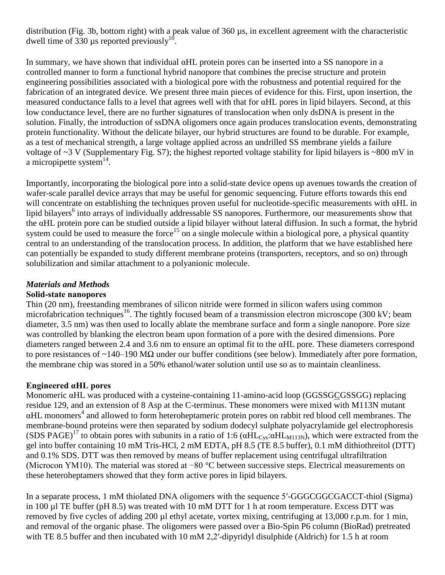distribution (Fig. 3b, bottom right) with a peak value of 360 µs, in excellent agreement with the characteristic dwell time of 330 µs reported previously<sup>10</sup>.

In summary, we have shown that individual αHL protein pores can be inserted into a SS nanopore in a controlled manner to form a functional hybrid nanopore that combines the precise structure and protein engineering possibilities associated with a biological pore with the robustness and potential required for the fabrication of an integrated device. We present three main pieces of evidence for this. First, upon insertion, the measured conductance falls to a level that agrees well with that for αHL pores in lipid bilayers. Second, at this low conductance level, there are no further signatures of translocation when only dsDNA is present in the solution. Finally, the introduction of ssDNA oligomers once again produces translocation events, demonstrating protein functionality. Without the delicate bilayer, our hybrid structures are found to be durable. For example, as a test of mechanical strength, a large voltage applied across an undrilled SS membrane yields a failure voltage of  $\sim$ 3 V (Supplementary Fig. S7); the highest reported voltage stability for lipid bilayers is  $\sim$ 800 mV in a micropipette system $^{14}$ .

Importantly, incorporating the biological pore into a solid-state device opens up avenues towards the creation of wafer-scale parallel device arrays that may be useful for genomic sequencing. Future efforts towards this end will concentrate on establishing the techniques proven useful for nucleotide-specific measurements with αHL in lipid bilayers<sup>6</sup> into arrays of individually addressable SS nanopores. Furthermore, our measurements show that the αHL protein pore can be studied outside a lipid bilayer without lateral diffusion. In such a format, the hybrid system could be used to measure the force<sup>15</sup> on a single molecule within a biological pore, a physical quantity central to an understanding of the translocation process. In addition, the platform that we have established here can potentially be expanded to study different membrane proteins (transporters, receptors, and so on) through solubilization and similar attachment to a polyanionic molecule.

# *Materials and Methods*

## **Solid-state nanopores**

Thin (20 nm), freestanding membranes of silicon nitride were formed in silicon wafers using common microfabrication techniques<sup>16</sup>. The tightly focused beam of a transmission electron microscope (300 kV; beam diameter, 3.5 nm) was then used to locally ablate the membrane surface and form a single nanopore. Pore size was controlled by blanking the electron beam upon formation of a pore with the desired dimensions. Pore diameters ranged between 2.4 and 3.6 nm to ensure an optimal fit to the αHL pore. These diameters correspond to pore resistances of ~140–190 MΩ under our buffer conditions (see below). Immediately after pore formation, the membrane chip was stored in a 50% ethanol/water solution until use so as to maintain cleanliness.

# **Engineered αHL pores**

Monomeric αHL was produced with a cysteine-containing 11-amino-acid loop (GGSSGCGSSGG) replacing residue 129, and an extension of 8 Asp at the C-terminus. These monomers were mixed with M113N mutant αHL monomers<sup>4</sup> and allowed to form heteroheptameric protein pores on rabbit red blood cell membranes. The membrane-bound proteins were then separated by sodium dodecyl sulphate polyacrylamide gel electrophoresis (SDS PAGE)<sup>17</sup> to obtain pores with subunits in a ratio of 1:6 ( $\alpha$ HL<sub>Cys</sub>: $\alpha$ HL<sub>M113N</sub>), which were extracted from the gel into buffer containing 10 mM Tris-HCl, 2 mM EDTA, pH 8.5 (TE 8.5 buffer), 0.1 mM dithiothreitol (DTT) and 0.1% SDS. DTT was then removed by means of buffer replacement using centrifugal ultrafiltration (Microcon YM10). The material was stored at −80 °C between successive steps. Electrical measurements on these heteroheptamers showed that they form active pores in lipid bilayers.

In a separate process, 1 mM thiolated DNA oligomers with the sequence 5′-GGGCGGCGACCT-thiol (Sigma) in 100 µl TE buffer (pH 8.5) was treated with 10 mM DTT for 1 h at room temperature. Excess DTT was removed by five cycles of adding 200 µl ethyl acetate, vortex mixing, centrifuging at 13,000 r.p.m. for 1 min, and removal of the organic phase. The oligomers were passed over a Bio-Spin P6 column (BioRad) pretreated with TE 8.5 buffer and then incubated with 10 mM 2,2'-dipyridyl disulphide (Aldrich) for 1.5 h at room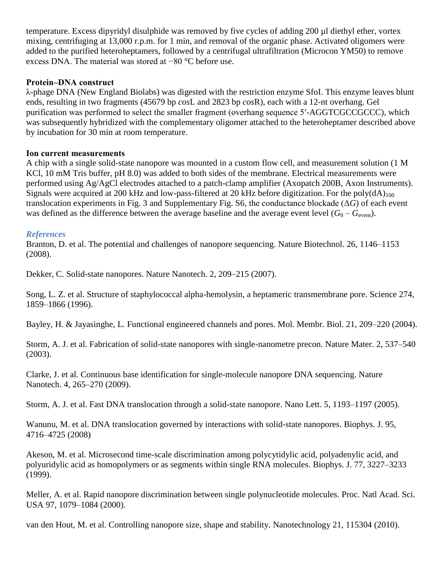temperature. Excess dipyridyl disulphide was removed by five cycles of adding 200 µl diethyl ether, vortex mixing, centrifuging at 13,000 r.p.m. for 1 min, and removal of the organic phase. Activated oligomers were added to the purified heteroheptamers, followed by a centrifugal ultrafiltration (Microcon YM50) to remove excess DNA. The material was stored at −80 °C before use.

## **Protein–DNA construct**

λ-phage DNA (New England Biolabs) was digested with the restriction enzyme SfoI. This enzyme leaves blunt ends, resulting in two fragments (45679 bp *cos*L and 2823 bp *cos*R), each with a 12-nt overhang. Gel purification was performed to select the smaller fragment (overhang sequence 5′-AGGTCGCCGCCC), which was subsequently hybridized with the complementary oligomer attached to the heteroheptamer described above by incubation for 30 min at room temperature.

## **Ion current measurements**

A chip with a single solid-state nanopore was mounted in a custom flow cell, and measurement solution (1 M KCl, 10 mM Tris buffer, pH 8.0) was added to both sides of the membrane. Electrical measurements were performed using Ag/AgCl electrodes attached to a patch-clamp amplifier (Axopatch 200B, Axon Instruments). Signals were acquired at 200 kHz and low-pass-filtered at 20 kHz before digitization. For the poly $(dA)_{100}$ translocation experiments in Fig. 3 and Supplementary Fig. S6, the conductance blockade (Δ*G*) of each event was defined as the difference between the average baseline and the average event level  $(G_0 - G_{\text{event}})$ .

## *References*

Branton, D. et al. The potential and challenges of nanopore sequencing. Nature Biotechnol. 26, 1146–1153 (2008).

Dekker, C. Solid-state nanopores. Nature Nanotech. 2, 209–215 (2007).

Song, L. Z. et al. Structure of staphylococcal alpha-hemolysin, a heptameric transmembrane pore. Science 274, 1859–1866 (1996).

Bayley, H. & Jayasinghe, L. Functional engineered channels and pores. Mol. Membr. Biol. 21, 209–220 (2004).

Storm, A. J. et al. Fabrication of solid-state nanopores with single-nanometre precon. Nature Mater. 2, 537–540 (2003).

Clarke, J. et al. Continuous base identification for single-molecule nanopore DNA sequencing. Nature Nanotech. 4, 265–270 (2009).

Storm, A. J. et al. Fast DNA translocation through a solid-state nanopore. Nano Lett. 5, 1193–1197 (2005).

Wanunu, M. et al. DNA translocation governed by interactions with solid-state nanopores. Biophys. J. 95, 4716–4725 (2008)

Akeson, M. et al. Microsecond time-scale discrimination among polycytidylic acid, polyadenylic acid, and polyuridylic acid as homopolymers or as segments within single RNA molecules. Biophys. J. 77, 3227–3233 (1999).

Meller, A. et al. Rapid nanopore discrimination between single polynucleotide molecules. Proc. Natl Acad. Sci. USA 97, 1079–1084 (2000).

van den Hout, M. et al. Controlling nanopore size, shape and stability. Nanotechnology 21, 115304 (2010).